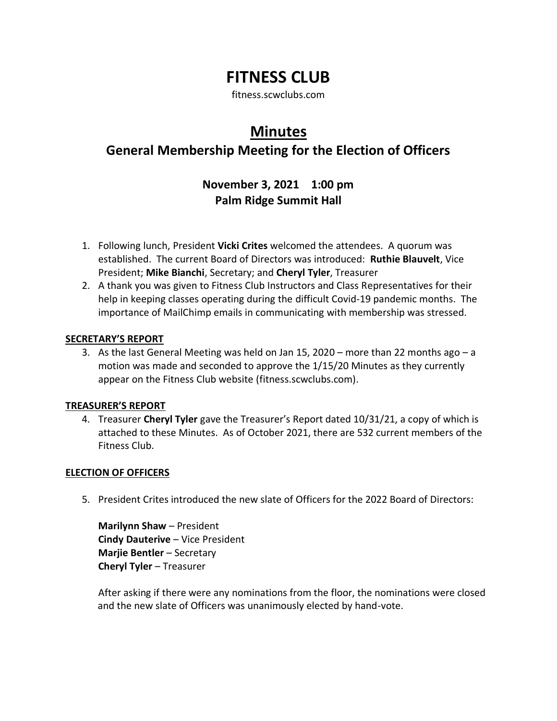# **FITNESS CLUB**

fitness.scwclubs.com

# **Minutes**

## **General Membership Meeting for the Election of Officers**

### **November 3, 2021 1:00 pm Palm Ridge Summit Hall**

- 1. Following lunch, President **Vicki Crites** welcomed the attendees. A quorum was established. The current Board of Directors was introduced: **Ruthie Blauvelt**, Vice President; **Mike Bianchi**, Secretary; and **Cheryl Tyler**, Treasurer
- 2. A thank you was given to Fitness Club Instructors and Class Representatives for their help in keeping classes operating during the difficult Covid-19 pandemic months. The importance of MailChimp emails in communicating with membership was stressed.

#### **SECRETARY'S REPORT**

3. As the last General Meeting was held on Jan 15, 2020 – more than 22 months ago – a motion was made and seconded to approve the 1/15/20 Minutes as they currently appear on the Fitness Club website (fitness.scwclubs.com).

### **TREASURER'S REPORT**

4. Treasurer **Cheryl Tyler** gave the Treasurer's Report dated 10/31/21, a copy of which is attached to these Minutes. As of October 2021, there are 532 current members of the Fitness Club.

### **ELECTION OF OFFICERS**

5. President Crites introduced the new slate of Officers for the 2022 Board of Directors:

**Marilynn Shaw** – President **Cindy Dauterive** – Vice President **Marjie Bentler** – Secretary **Cheryl Tyler** – Treasurer

After asking if there were any nominations from the floor, the nominations were closed and the new slate of Officers was unanimously elected by hand-vote.